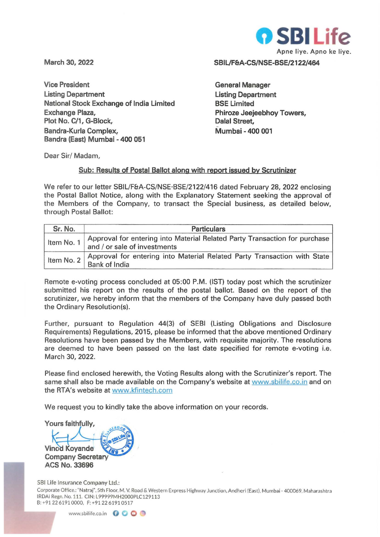

**March 30, 2022** 

**Vice President Listing Department National Stock Exchange of India Limited Exchange Plaza, Plot No. C/1, G-Block, Bandra-Kurla Complex, Bandra (East) Mumbai - 400 051** 

**SBIL/F&A-CS/NSE-BSE/2122/464** 

**General Manager Listing Department BSE Limited Phiroze Jeejeebhoy Towers, Dalal Street, Mumbai - 400 001** 

Dear Sir/ Madam,

## **Sub: Results of Postal Ballot along with report issued by Scrutinizer**

We refer to our letter SBIL/F&A-CS/NSE·BSE/2122/416 dated February 28, 2022 enclosing the Postal Ballot Notice, along with the Explanatory Statement seeking the approval of the Members of the Company, to transact the Special business, as detailed below, through Postal Ballot:

| Sr. No.      | <b>Particulars</b>                                                                                         |  |  |  |  |  |
|--------------|------------------------------------------------------------------------------------------------------------|--|--|--|--|--|
| Item No. 1   | Approval for entering into Material Related Party Transaction for purchase<br>and / or sale of investments |  |  |  |  |  |
| Item No. $2$ | Approval for entering into Material Related Party Transaction with State<br>Bank of India                  |  |  |  |  |  |

Remote e-voting process concluded at 05:00 P.M. (IST) today post which the scrutinizer submitted his report on the results of the postal ballot. Based on the report of the scrutinizer, we hereby inform that the members of the Company have duly passed both the Ordinary Resolution(s).

Further, pursuant to Regulation 44(3) of SEBI (Listing Obligations and Disclosure Requirements) Regulations, 2015, please be informed that the above mentioned Ordinary Resolutions have been passed by the Members, with requisite majority. The resolutions are deemed to have been passed on the last date specified for remote e-voting i.e. March 30, 2022.

Please find enclosed herewith, the Voting Results along with the Scrutinizer's report. The same shall also be made available on the Company's website at www.sbilife.co.in and on the RTA's website at www.kfintech.com

We request you to kindly take the above information on your records.

Yours faithfully.

**Vinod Kovande Company Secretary ACS No. 33696** 

581 Life Insurance Company Ltd.:

Corporate Office.: "Natraj". 5th Floor. M. V. Road & Western Express Highway Junction, Andheri (East). Mumbai · 400069. Maharashtra IRDAI Regn. No.111. CIN: L99999MH2000PLC129113 B:+91 2261910000, F:+912261910517

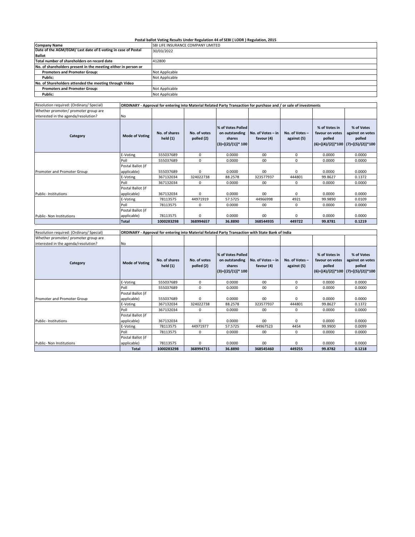## **Postal ballot Voting Results Under Regulation 44 of SEBI ( LODR ) Regulation, 2015**

| <b>Company Name</b>                                            | SBI LIFE INSURANCE COMPANY LIMITED |
|----------------------------------------------------------------|------------------------------------|
| Date of the AGM/EGM/ Last date of E-voting in case of Postal   | 30/03/2022                         |
| <b>Ballot</b>                                                  |                                    |
| Total number of shareholders on record date                    | 412800                             |
| No. of shareholders present in the meeting either in person or |                                    |
| <b>Promoters and Promoter Group:</b>                           | Not Applicable                     |
| Public:                                                        | Not Applicable                     |
| No. of Shareholders attended the meeting through Video         |                                    |
| <b>Promoters and Promoter Group:</b>                           | Not Applicable                     |
| Public:                                                        | Not Applicable                     |

| Resolution required: (Ordinary/ Special) | ORDINARY - Approval for entering into Material Related Party Transaction for purchase and / or sale of investments |                          |                            |                                                                        |                                 |                               |                                            |                                                                                     |
|------------------------------------------|--------------------------------------------------------------------------------------------------------------------|--------------------------|----------------------------|------------------------------------------------------------------------|---------------------------------|-------------------------------|--------------------------------------------|-------------------------------------------------------------------------------------|
| Whether promoter/ promoter group are     |                                                                                                                    |                          |                            |                                                                        |                                 |                               |                                            |                                                                                     |
| interested in the agenda/resolution?     | No                                                                                                                 |                          |                            |                                                                        |                                 |                               |                                            |                                                                                     |
| Category                                 | <b>Mode of Voting</b>                                                                                              | No. of shares<br>held(1) | No. of votes<br>polled (2) | % of Votes Polled<br>on outstanding<br>shares<br>$(3)=[(2)/(1)]$ * 100 | No. of Votes - in<br>favour (4) | No. of Votes -<br>against (5) | % of Votes in<br>favour on votes<br>polled | % of Votes<br>against on votes<br>polled<br>$(6)=[(4)/(2)]*100$ $(7)=[(5)/(2)]*100$ |
|                                          | E-Voting                                                                                                           | 555037689                | $\mathbf 0$                | 0.0000                                                                 | 00                              | 0                             | 0.0000                                     | 0.0000                                                                              |
|                                          | Poll                                                                                                               | 555037689                | 0                          | 0.0000                                                                 | 00                              | 0                             | 0.0000                                     | 0.0000                                                                              |
| Promoter and Promoter Group              | Postal Ballot (if<br>applicable)                                                                                   | 555037689                | $\Omega$                   | 0.0000                                                                 | 00                              | $\Omega$                      | 0.0000                                     | 0.0000                                                                              |
|                                          | E-Voting                                                                                                           | 367132034                | 324022738                  | 88.2578                                                                | 323577937                       | 444801                        | 99.8627                                    | 0.1372                                                                              |
|                                          | Poll                                                                                                               | 367132034                | $\Omega$                   | 0.0000                                                                 | 00                              | $\Omega$                      | 0.0000                                     | 0.0000                                                                              |
| <b>Public-Institutions</b>               | Postal Ballot (if<br>applicable)                                                                                   | 367132034                | $\mathbf 0$                | 0.0000                                                                 | 00                              | 0                             | 0.0000                                     | 0.0000                                                                              |
|                                          | E-Voting                                                                                                           | 78113575                 | 44971919                   | 57.5725                                                                | 44966998                        | 4921                          | 99.9890                                    | 0.0109                                                                              |
|                                          | Poll                                                                                                               | 78113575                 | $\mathbf 0$                | 0.0000                                                                 | 00                              | $\Omega$                      | 0.0000                                     | 0.0000                                                                              |
|                                          | Postal Ballot (if                                                                                                  |                          |                            |                                                                        |                                 |                               |                                            |                                                                                     |
| Public- Non Institutions                 | applicable)                                                                                                        | 78113575                 | $\Omega$                   | 0.0000                                                                 | 00                              | $\Omega$                      | 0.0000                                     | 0.0000                                                                              |
|                                          | Total                                                                                                              | 1000283298               | 368994657                  | 36.8890                                                                | 368544935                       | 449722                        | 99.8781                                    | 0.1219                                                                              |

| Resolution required: (Ordinary/ Special) | ORDINARY - Approval for entering into Material Related Party Transaction with State Bank of India |                             |                            |                                                                        |                                 |                               |                                            |                                                                                     |
|------------------------------------------|---------------------------------------------------------------------------------------------------|-----------------------------|----------------------------|------------------------------------------------------------------------|---------------------------------|-------------------------------|--------------------------------------------|-------------------------------------------------------------------------------------|
| Whether promoter/ promoter group are     |                                                                                                   |                             |                            |                                                                        |                                 |                               |                                            |                                                                                     |
| interested in the agenda/resolution?     | No                                                                                                |                             |                            |                                                                        |                                 |                               |                                            |                                                                                     |
| Category                                 | <b>Mode of Voting</b>                                                                             | No. of shares<br>held $(1)$ | No. of votes<br>polled (2) | % of Votes Polled<br>on outstanding<br>shares<br>$(3)=[(2)/(1)]$ * 100 | No. of Votes - in<br>favour (4) | No. of Votes -<br>against (5) | % of Votes in<br>favour on votes<br>polled | % of Votes<br>against on votes<br>polled<br>$(6)=[(4)/(2)]*100$ $(7)=[(5)/(2)]*100$ |
|                                          | E-Voting                                                                                          | 555037689                   | $\mathbf 0$                | 0.0000                                                                 | 00                              | 0                             | 0.0000                                     | 0.0000                                                                              |
|                                          | Poll                                                                                              | 555037689                   | $\mathbf 0$                | 0.0000                                                                 | 00                              | 0                             | 0.0000                                     | 0.0000                                                                              |
|                                          | Postal Ballot (if                                                                                 |                             |                            |                                                                        |                                 |                               |                                            |                                                                                     |
| Promoter and Promoter Group              | applicable)                                                                                       | 555037689                   | $\Omega$                   | 0.0000                                                                 | 00 <sup>1</sup>                 | $\Omega$                      | 0.0000                                     | 0.0000                                                                              |
|                                          | E-Voting                                                                                          | 367132034                   | 324022738                  | 88.2578                                                                | 323577937                       | 444801                        | 99.8627                                    | 0.1372                                                                              |
|                                          | Poll                                                                                              | 367132034                   | 0                          | 0.0000                                                                 | 00                              | 0                             | 0.0000                                     | 0.0000                                                                              |
| Public-Institutions                      | Postal Ballot (if<br>applicable)                                                                  | 367132034                   | $\Omega$                   | 0.0000                                                                 | 00                              | $\Omega$                      | 0.0000                                     | 0.0000                                                                              |
|                                          | E-Voting                                                                                          | 78113575                    | 44971977                   | 57.5725                                                                | 44967523                        | 4454                          | 99.9900                                    | 0.0099                                                                              |
|                                          | Poll                                                                                              | 78113575                    | 0                          | 0.0000                                                                 | 00                              | 0                             | 0.0000                                     | 0.0000                                                                              |
|                                          | Postal Ballot (if                                                                                 |                             |                            |                                                                        |                                 |                               |                                            |                                                                                     |
| Public- Non Institutions                 | applicable)                                                                                       | 78113575                    | 0                          | 0.0000                                                                 | 00                              | $\Omega$                      | 0.0000                                     | 0.0000                                                                              |
|                                          | <b>Total</b>                                                                                      | 1000283298                  | 368994715                  | 36.8890                                                                | 368545460                       | 449255                        | 99.8782                                    | 0.1218                                                                              |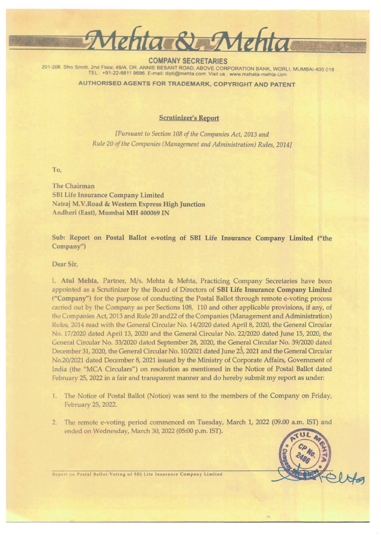

COMPANY SECRETARIES 201-206 Shrv Smriti, 2nd Floor, 49/A, DR. ANNIE BESANT ROAD, ABOVE CORPORATION BANK, WORLI, MUMBAI-400 018 TEL +91-22-6611 9696. E-mail: dipti@mehta.com. Visit us www.mehata-mehta com

AUTHORISED AGENTS FOR TRADEMARK, COPYRIGHT ANO PATENT

## Scrutinizer's Report

*[Pursuant to Section 108 of the Companies Act, 2013 and Rule 20 of the Companies (Management and Administration) Rules, 2014]* 

To,

The Chairman SHI Life Insurance Company Limited Natraj M.V.Road & Western Express High Junction Andheri (East), Mumbai MH 400069 IN

Sub: Report on Postal Ballot e-voting of SBI Life Insurance Company Limited ("the Company")

Dear Sir,

I, Atul Mehta, Partner, M/s. Mehta & Mehta, Practicing Company Secretaries have been appointed as a Scrutinizer by the Board of Directors of SBI Life Insurance Company Limited ("Company") for the purpose of conducting the Postal Ballot through remote e-voting process carried out by the Company as per Sections 108, 110 and other applicable provisions, if any, of the Companies Act, 2013 and Rule 20 and22 of the Companies (Management and Administration) Rules, 2014 read with the General Circular No. 14/2020 dated April 8, 2020, the General Circular No. 17/2020 dated April 13, 2020 and the General Circular No. 22/2020 dated June 15, 2020, the General Circular No. 33/2020 dated September 28, 2020, the General Circular No. 39/2020 dated December 31, 2020, the General Circular No. I 0/2021 dated June 23, 2021 and the General Circular No.20/2021 dated December 8, 2021 issued by the Ministry of Corporate Affairs, Government of India (the "MCA Circulars") on resolution as mentioned in the Notice of Postal Bailot dated February 25, 2022 in a fair and transparent manner and do hereby submit my report as under:

- I. The Notice of Postal Ballot (Notice) was sent to the members of the Company on Friday, February 25, 2022.
- 2. The remote e-voting period commenced on Tuesday, March 1, 2022 (09.00 a.m. IST) and ended on Wednesday, March 30, 2022 (05:00 p.m. IST).



Report on Postal Ballot Voting of SBI Life Insurance Company Limited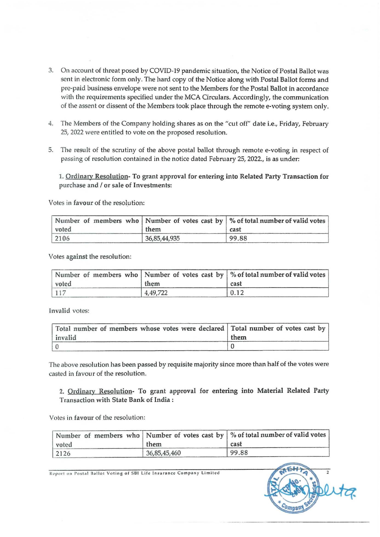- 3. On account of threat posed by COVID-19 pandemic situation, the Notice of Postal Ballot was sent in electronic form only. The hard copy of the Notice along with Postal Ballot forms and pre-paid business envelope were not sent to the Members for the Postal Ballot in accordance with the requirements specified under the MCA Circulars. Accordingly, the communication of the assent or dissent of the Members took place through the remote e-voting system only .
- 4. The Members of the Company holding shares as on the "cut off" date i.e., Friday, February 25, 2022 were entitled to vote on the proposed resolution.
- 5. The result of the scrutiny of the above postal ballot through remote e-voting in respect of passing of resolution contained in the notice dated February 25, 2022., is as under:

1. Ordinary Resolution- To grant approval for entering into Related Party Transaction for purchase and / or sale of Investments:

Votes in favour of the resolution:

| voted | them         | Number of members who Number of votes cast by $\frac{1}{2}$ % of total number of valid votes<br>cast |
|-------|--------------|------------------------------------------------------------------------------------------------------|
| 2106  | 36,85,44,935 | 99.88                                                                                                |

Votes against the resolution:

| voted | them     | Number of members who   Number of votes cast by   % of total number of valid votes  <br>cast |
|-------|----------|----------------------------------------------------------------------------------------------|
| 117   | 4,49,722 | 0.12                                                                                         |

Invalid votes:

| Total number of members whose votes were declared   Total number of votes cast by |      |
|-----------------------------------------------------------------------------------|------|
| invalid                                                                           | them |
|                                                                                   |      |

The *above* resolution has been passed by requisite majority since more than half of the votes were casted in favour of the resolution.

2. Ordinary Resolution- To grant approval for entering into Material Related Party Transaction with State Bank of India :

Votes in favour of the resolution:

| voted | them         | Number of members who   Number of votes cast by   % of total number of valid votes  <br>cast |
|-------|--------------|----------------------------------------------------------------------------------------------|
| 2126  | 36,85,45,460 | 99.88                                                                                        |

Report on Postal Ballot Voting of SBI Life Insurance Company Limited